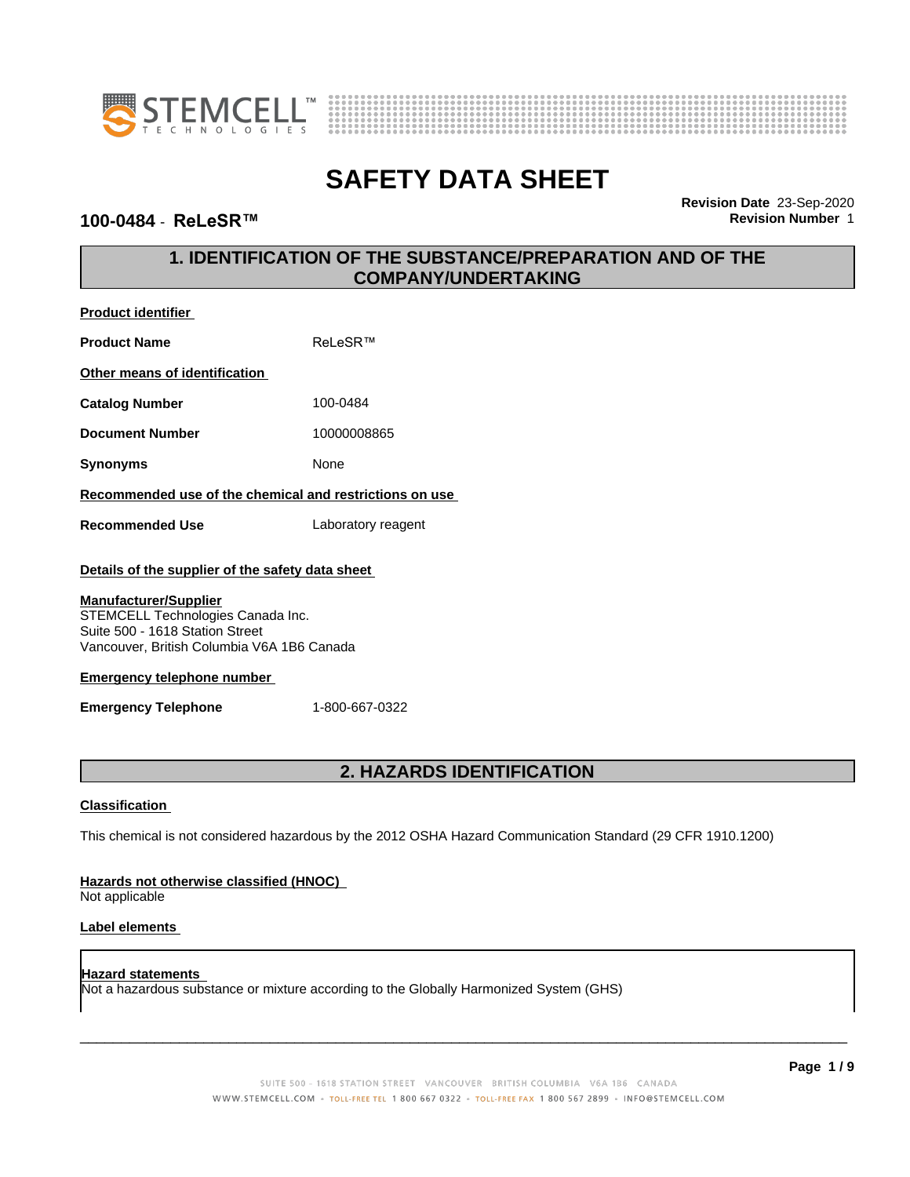



### $100-0484$  - **ReLeSR**™

**Product identifier**

**Revision Date** 23-Sep-2020

# **1. IDENTIFICATION OF THE SUBSTANCE/PREPARATION AND OF THE COMPANY/UNDERTAKING**

| <b>Product identifier</b>                                                                                                                                                                                                                   |                    |  |
|---------------------------------------------------------------------------------------------------------------------------------------------------------------------------------------------------------------------------------------------|--------------------|--|
| <b>Product Name</b>                                                                                                                                                                                                                         | ReLeSR™            |  |
| Other means of identification                                                                                                                                                                                                               |                    |  |
| <b>Catalog Number</b>                                                                                                                                                                                                                       | 100-0484           |  |
| <b>Document Number</b>                                                                                                                                                                                                                      | 10000008865        |  |
| <b>Synonyms</b>                                                                                                                                                                                                                             | None               |  |
| Recommended use of the chemical and restrictions on use                                                                                                                                                                                     |                    |  |
| <b>Recommended Use</b>                                                                                                                                                                                                                      | Laboratory reagent |  |
| Details of the supplier of the safety data sheet<br><b>Manufacturer/Supplier</b><br>STEMCELL Technologies Canada Inc.<br>Suite 500 - 1618 Station Street<br>Vancouver, British Columbia V6A 1B6 Canada<br><b>Emergency telephone number</b> |                    |  |
| <b>Emergency Telephone</b>                                                                                                                                                                                                                  | 1-800-667-0322     |  |
|                                                                                                                                                                                                                                             |                    |  |

# **2. HAZARDS IDENTIFICATION**

### **Classification**

This chemical is not considered hazardous by the 2012 OSHA Hazard Communication Standard (29 CFR 1910.1200)

### **Hazards not otherwise classified (HNOC)**

Not applicable

### **Label elements**

### **Hazard statements** Not a hazardous substance or mixture according to the Globally Harmonized System (GHS)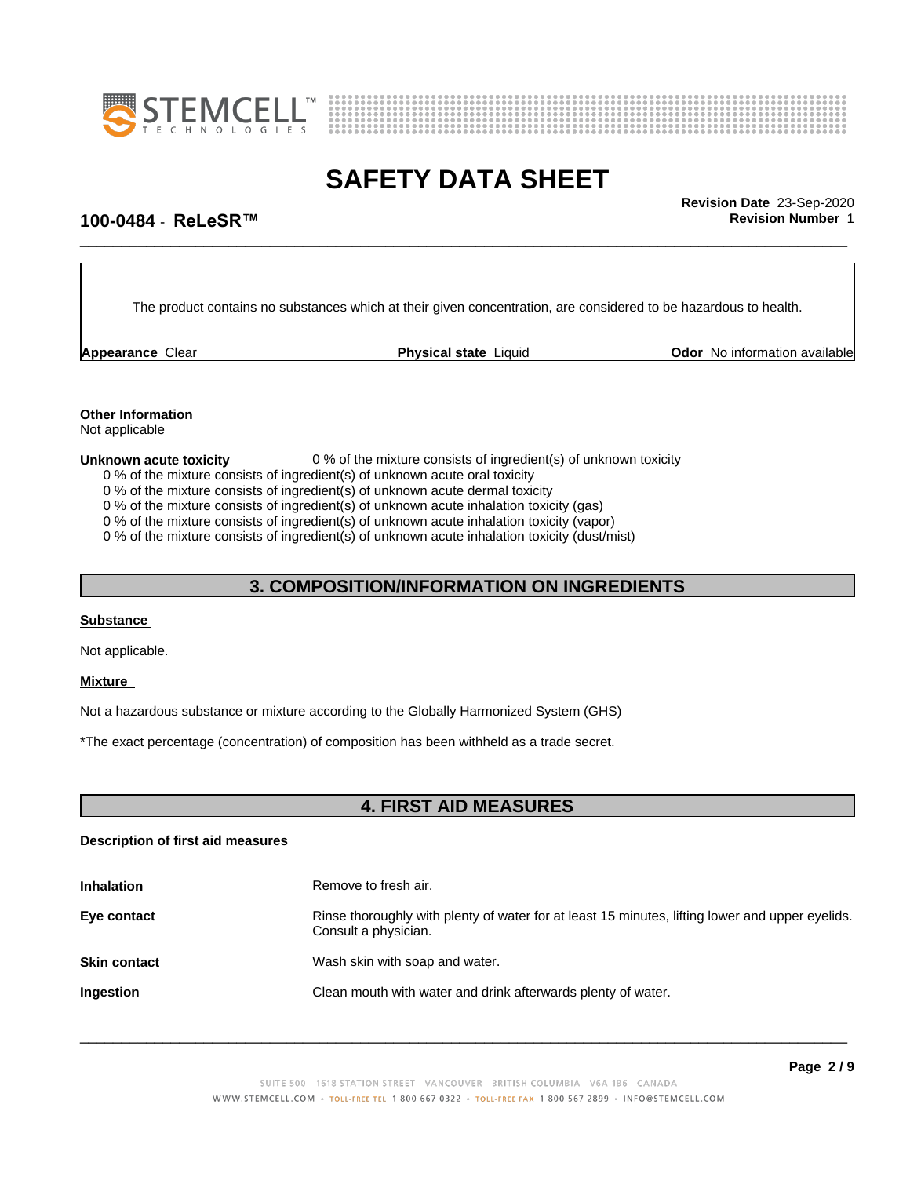



\_\_\_\_\_\_\_\_\_\_\_\_\_\_\_\_\_\_\_\_\_\_\_\_\_\_\_\_\_\_\_\_\_\_\_\_\_\_\_\_\_\_\_\_\_\_\_\_\_\_\_\_\_\_\_\_\_\_\_\_\_\_\_\_\_\_\_\_\_\_\_\_\_\_\_\_\_\_\_\_\_\_\_\_\_\_\_\_\_\_\_\_\_ **Revision Date** 23-Sep-2020

### **100-0484** - **ReLeSR™ Revision Number** 1

The product contains no substances which at their given concentration, are considered to be hazardous to health.

**Appearance Clear <b>Physical state** Liquid

**Odor** No information available

### **Other Information**

Not applicable

- **Unknown acute toxicity** 0 % of the mixture consists of ingredient(s) of unknown toxicity
	- 0 % of the mixture consists of ingredient(s) of unknown acute oral toxicity
	- 0 % of the mixture consists of ingredient(s) of unknown acute dermal toxicity
	- 0 % of the mixture consists of ingredient(s) of unknown acute inhalation toxicity (gas)
	- 0 % of the mixture consists of ingredient(s) of unknown acute inhalation toxicity (vapor)

0 % of the mixture consists of ingredient(s) of unknown acute inhalation toxicity (dust/mist)

# **3. COMPOSITION/INFORMATION ON INGREDIENTS**

### **Substance**

Not applicable.

#### **Mixture**

Not a hazardous substance or mixture according to the Globally Harmonized System (GHS)

\*The exact percentage (concentration) of composition has been withheld as a trade secret.

### **4. FIRST AID MEASURES**

#### **Description of first aid measures**

| <b>Inhalation</b>   | Remove to fresh air.                                                                                                    |
|---------------------|-------------------------------------------------------------------------------------------------------------------------|
| Eye contact         | Rinse thoroughly with plenty of water for at least 15 minutes, lifting lower and upper eyelids.<br>Consult a physician. |
| <b>Skin contact</b> | Wash skin with soap and water.                                                                                          |
| <b>Ingestion</b>    | Clean mouth with water and drink afterwards plenty of water.                                                            |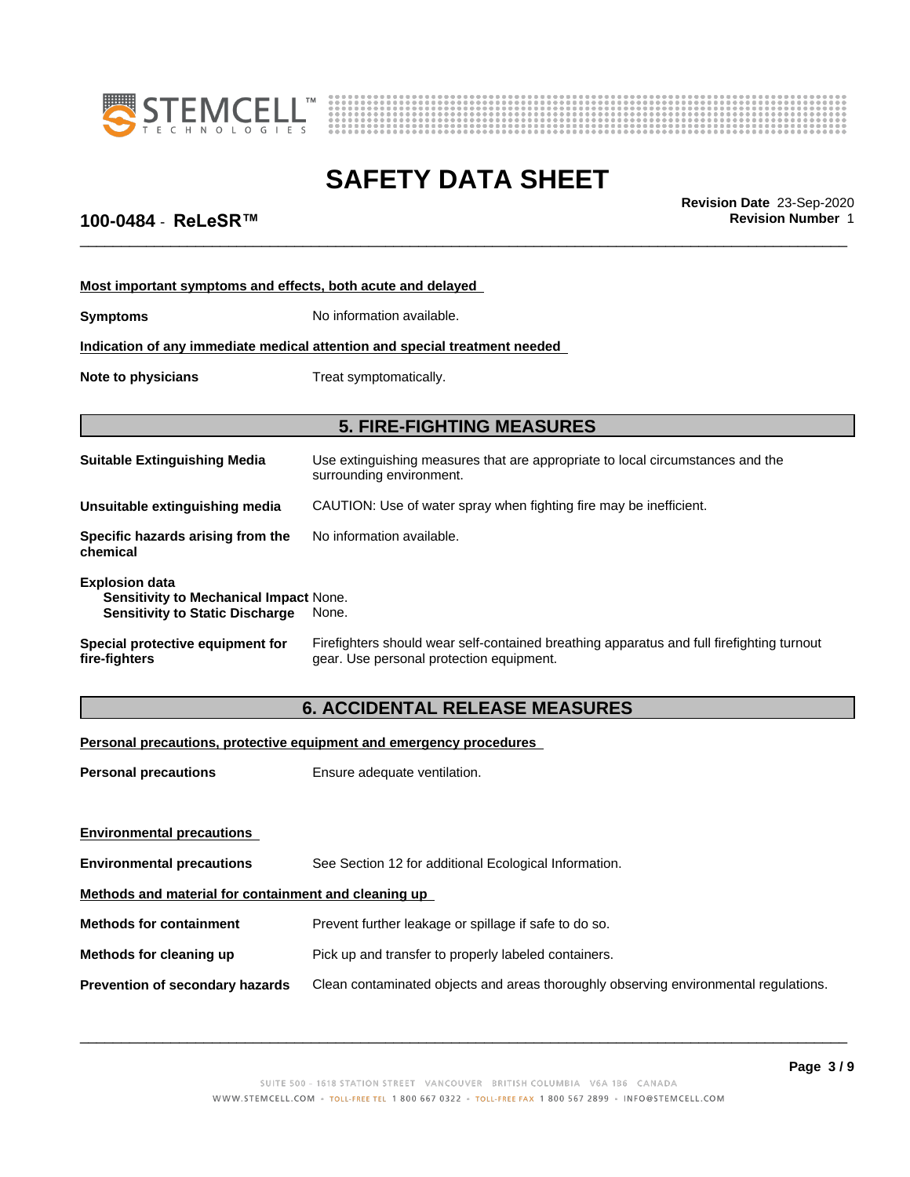



\_\_\_\_\_\_\_\_\_\_\_\_\_\_\_\_\_\_\_\_\_\_\_\_\_\_\_\_\_\_\_\_\_\_\_\_\_\_\_\_\_\_\_\_\_\_\_\_\_\_\_\_\_\_\_\_\_\_\_\_\_\_\_\_\_\_\_\_\_\_\_\_\_\_\_\_\_\_\_\_\_\_\_\_\_\_\_\_\_\_\_\_\_ **Revision Date** 23-Sep-2020

# **100-0484** - **ReLeSR™ Revision Number** 1

| Most important symptoms and effects, both acute and delayed                                                      |                                                                                                                                       |  |
|------------------------------------------------------------------------------------------------------------------|---------------------------------------------------------------------------------------------------------------------------------------|--|
| <b>Symptoms</b>                                                                                                  | No information available.                                                                                                             |  |
|                                                                                                                  | Indication of any immediate medical attention and special treatment needed                                                            |  |
| Note to physicians                                                                                               | Treat symptomatically.                                                                                                                |  |
|                                                                                                                  | <b>5. FIRE-FIGHTING MEASURES</b>                                                                                                      |  |
| <b>Suitable Extinguishing Media</b>                                                                              | Use extinguishing measures that are appropriate to local circumstances and the<br>surrounding environment.                            |  |
| Unsuitable extinguishing media                                                                                   | CAUTION: Use of water spray when fighting fire may be inefficient.                                                                    |  |
| Specific hazards arising from the<br>chemical                                                                    | No information available.                                                                                                             |  |
| <b>Explosion data</b><br><b>Sensitivity to Mechanical Impact None.</b><br><b>Sensitivity to Static Discharge</b> | None.                                                                                                                                 |  |
| Special protective equipment for<br>fire-fighters                                                                | Firefighters should wear self-contained breathing apparatus and full firefighting turnout<br>gear. Use personal protection equipment. |  |

# **6. ACCIDENTAL RELEASE MEASURES**

### **Personal precautions, protective equipment and emergency procedures**

| <b>Personal precautions</b>                          | Ensure adequate ventilation.                                                         |  |
|------------------------------------------------------|--------------------------------------------------------------------------------------|--|
|                                                      |                                                                                      |  |
| <b>Environmental precautions</b>                     |                                                                                      |  |
| <b>Environmental precautions</b>                     | See Section 12 for additional Ecological Information.                                |  |
| Methods and material for containment and cleaning up |                                                                                      |  |
| <b>Methods for containment</b>                       | Prevent further leakage or spillage if safe to do so.                                |  |
| Methods for cleaning up                              | Pick up and transfer to properly labeled containers.                                 |  |
| <b>Prevention of secondary hazards</b>               | Clean contaminated objects and areas thoroughly observing environmental regulations. |  |
|                                                      |                                                                                      |  |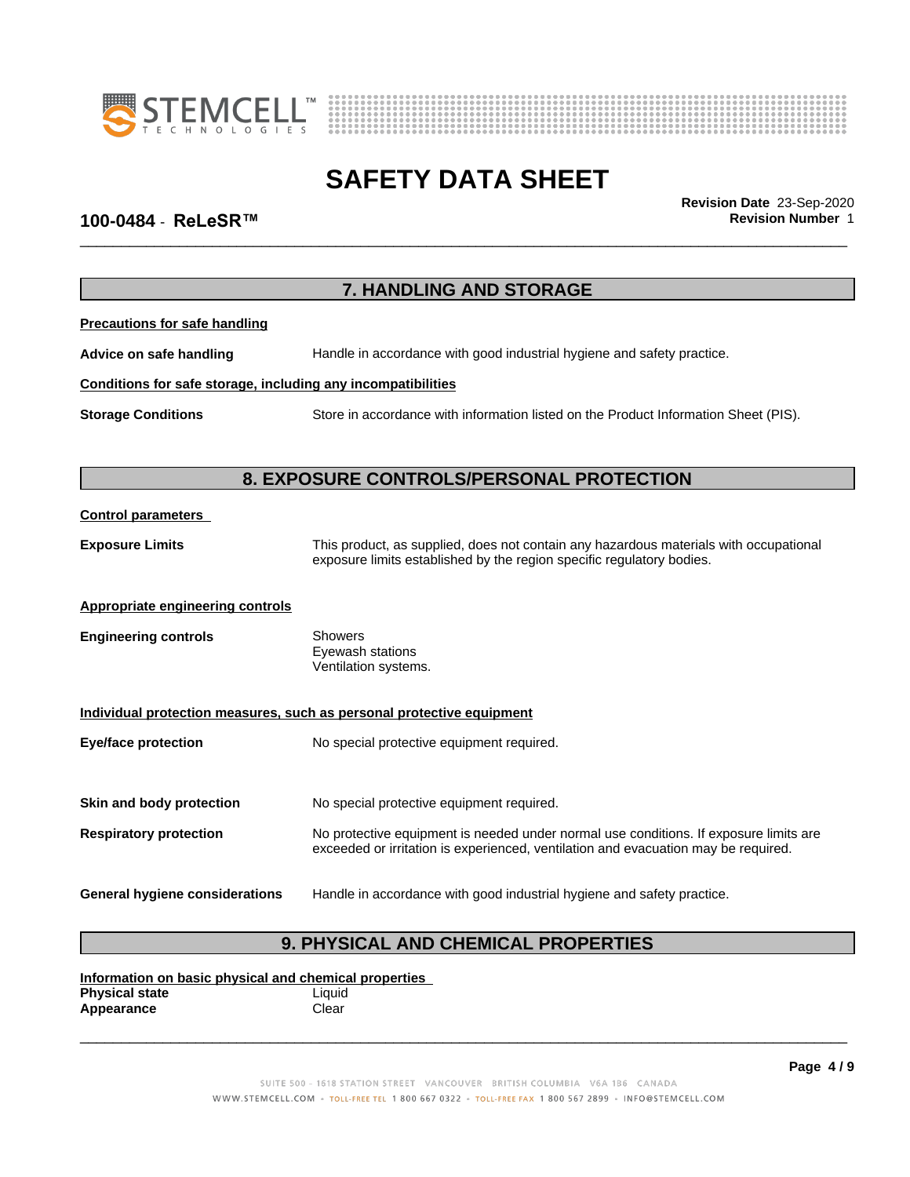



# **SAFETY DATA SHEET**<br>Revision Date 23-Sep-2020

\_\_\_\_\_\_\_\_\_\_\_\_\_\_\_\_\_\_\_\_\_\_\_\_\_\_\_\_\_\_\_\_\_\_\_\_\_\_\_\_\_\_\_\_\_\_\_\_\_\_\_\_\_\_\_\_\_\_\_\_\_\_\_\_\_\_\_\_\_\_\_\_\_\_\_\_\_\_\_\_\_\_\_\_\_\_\_\_\_\_\_\_\_ **Revision Date** 23-Sep-2020

# **100-0484** - **ReLeSR™ Revision Number** 1

|                                                              | 7. HANDLING AND STORAGE                                                                                                                                        |
|--------------------------------------------------------------|----------------------------------------------------------------------------------------------------------------------------------------------------------------|
| <b>Precautions for safe handling</b>                         |                                                                                                                                                                |
| Advice on safe handling                                      | Handle in accordance with good industrial hygiene and safety practice.                                                                                         |
| Conditions for safe storage, including any incompatibilities |                                                                                                                                                                |
| <b>Storage Conditions</b>                                    | Store in accordance with information listed on the Product Information Sheet (PIS).                                                                            |
|                                                              |                                                                                                                                                                |
|                                                              | 8. EXPOSURE CONTROLS/PERSONAL PROTECTION                                                                                                                       |
| <b>Control parameters</b>                                    |                                                                                                                                                                |
| <b>Exposure Limits</b>                                       | This product, as supplied, does not contain any hazardous materials with occupational<br>exposure limits established by the region specific regulatory bodies. |
| <b>Appropriate engineering controls</b>                      |                                                                                                                                                                |
| <b>Engineering controls</b>                                  | <b>Showers</b><br>Eyewash stations<br>Ventilation systems.                                                                                                     |
|                                                              | Individual protection measures, such as personal protective equipment                                                                                          |
| <b>Eye/face protection</b>                                   | No special protective equipment required.                                                                                                                      |
| Skin and body protection                                     | No special protective equipment required.                                                                                                                      |
| <b>Respiratory protection</b>                                | No protective equipment is needed under normal use conditions. If exposure limits are                                                                          |
|                                                              | exceeded or irritation is experienced, ventilation and evacuation may be required.                                                                             |
| <b>General hygiene considerations</b>                        | Handle in accordance with good industrial hygiene and safety practice.                                                                                         |
|                                                              | A DUVCICAL AND CULTURAL DRADEDTIES                                                                                                                             |

# **9. PHYSICAL AND CHEMICAL PROPERTIES**

**Information on basic physical and chemical properties Physical state** Liquid Appearance **Clear**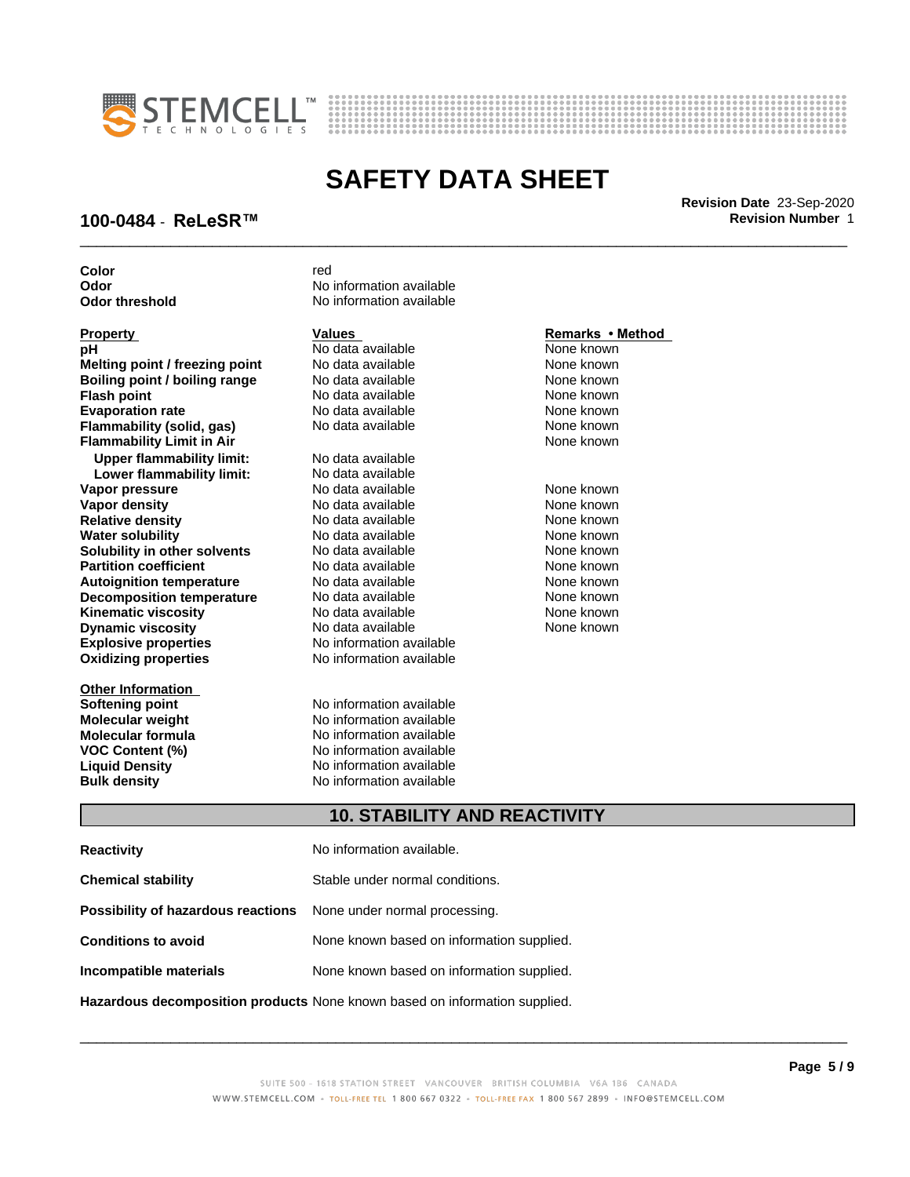



# **SAFETY DATA SHEET**<br>Revision Date 23-Sep-2020

\_\_\_\_\_\_\_\_\_\_\_\_\_\_\_\_\_\_\_\_\_\_\_\_\_\_\_\_\_\_\_\_\_\_\_\_\_\_\_\_\_\_\_\_\_\_\_\_\_\_\_\_\_\_\_\_\_\_\_\_\_\_\_\_\_\_\_\_\_\_\_\_\_\_\_\_\_\_\_\_\_\_\_\_\_\_\_\_\_\_\_\_\_ **Revision Date** 23-Sep-2020

# **100-0484** - **ReLeSR™ Revision Number** 1

| Color                            | red                      |                  |
|----------------------------------|--------------------------|------------------|
| Odor                             | No information available |                  |
| <b>Odor threshold</b>            | No information available |                  |
|                                  |                          |                  |
| <b>Property</b>                  | <b>Values</b>            | Remarks • Method |
| рH                               | No data available        | None known       |
| Melting point / freezing point   | No data available        | None known       |
| Boiling point / boiling range    | No data available        | None known       |
| <b>Flash point</b>               | No data available        | None known       |
| <b>Evaporation rate</b>          | No data available        | None known       |
| Flammability (solid, gas)        | No data available        | None known       |
| <b>Flammability Limit in Air</b> |                          | None known       |
| <b>Upper flammability limit:</b> | No data available        |                  |
| Lower flammability limit:        | No data available        |                  |
| Vapor pressure                   | No data available        | None known       |
| <b>Vapor density</b>             | No data available        | None known       |
| <b>Relative density</b>          | No data available        | None known       |
| <b>Water solubility</b>          | No data available        | None known       |
| Solubility in other solvents     | No data available        | None known       |
| <b>Partition coefficient</b>     | No data available        | None known       |
| <b>Autoignition temperature</b>  | No data available        | None known       |
| <b>Decomposition temperature</b> | No data available        | None known       |
| <b>Kinematic viscosity</b>       | No data available        | None known       |
| <b>Dynamic viscosity</b>         | No data available        | None known       |
| <b>Explosive properties</b>      | No information available |                  |
| <b>Oxidizing properties</b>      | No information available |                  |
| <b>Other Information</b>         |                          |                  |
| Softening point                  | No information available |                  |
| <b>Molecular weight</b>          | No information available |                  |
| <b>Molecular formula</b>         | No information available |                  |
| <b>VOC Content (%)</b>           | No information available |                  |
| <b>Liquid Density</b>            | No information available |                  |
| <b>Bulk density</b>              | No information available |                  |
|                                  |                          |                  |

# **10. STABILITY AND REACTIVITY**

| <b>Reactivity</b>                                                          | No information available.                 |  |
|----------------------------------------------------------------------------|-------------------------------------------|--|
| <b>Chemical stability</b>                                                  | Stable under normal conditions.           |  |
| <b>Possibility of hazardous reactions</b> None under normal processing.    |                                           |  |
| None known based on information supplied.<br><b>Conditions to avoid</b>    |                                           |  |
| Incompatible materials                                                     | None known based on information supplied. |  |
| Hazardous decomposition products None known based on information supplied. |                                           |  |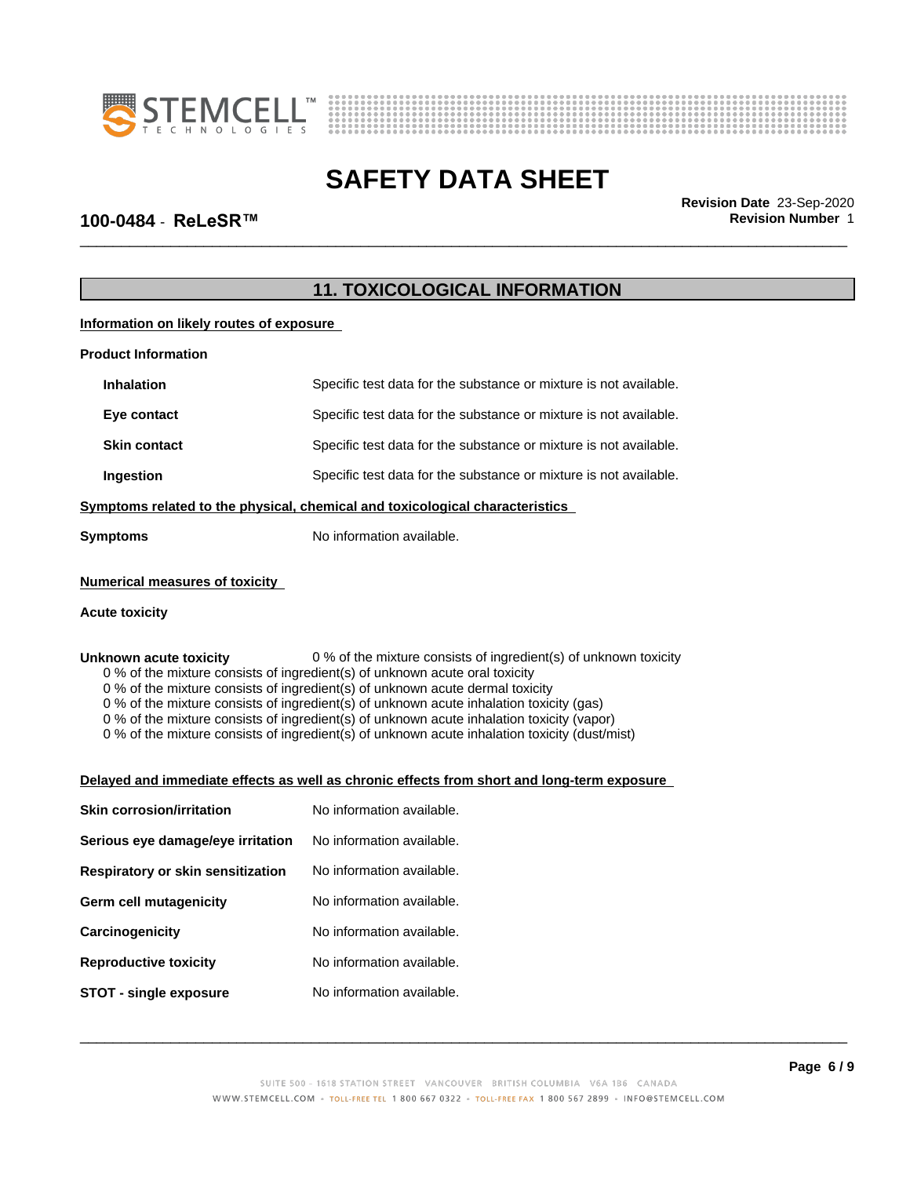



\_\_\_\_\_\_\_\_\_\_\_\_\_\_\_\_\_\_\_\_\_\_\_\_\_\_\_\_\_\_\_\_\_\_\_\_\_\_\_\_\_\_\_\_\_\_\_\_\_\_\_\_\_\_\_\_\_\_\_\_\_\_\_\_\_\_\_\_\_\_\_\_\_\_\_\_\_\_\_\_\_\_\_\_\_\_\_\_\_\_\_\_\_ **Revision Date** 23-Sep-2020

### **100-0484** - **ReLeSR™ Revision Number** 1

# **11. TOXICOLOGICAL INFORMATION**

**Information on likely routes of exposure**

| <b>Product Information</b>                                                   |                                                                   |  |
|------------------------------------------------------------------------------|-------------------------------------------------------------------|--|
| <b>Inhalation</b>                                                            | Specific test data for the substance or mixture is not available. |  |
| Eye contact                                                                  | Specific test data for the substance or mixture is not available. |  |
| <b>Skin contact</b>                                                          | Specific test data for the substance or mixture is not available. |  |
| Ingestion                                                                    | Specific test data for the substance or mixture is not available. |  |
| Symptoms related to the physical, chemical and toxicological characteristics |                                                                   |  |
| <b>Symptoms</b>                                                              | No information available.                                         |  |
|                                                                              |                                                                   |  |

### **Numerical measures of toxicity**

### **Acute toxicity**

**Unknown acute toxicity** 0 % of the mixture consists of ingredient(s) of unknown toxicity

0 % of the mixture consists of ingredient(s) of unknown acute oral toxicity

0 % of the mixture consists of ingredient(s) of unknown acute dermal toxicity

0 % of the mixture consists of ingredient(s) of unknown acute inhalation toxicity (gas)

0 % of the mixture consists of ingredient(s) of unknown acute inhalation toxicity (vapor)

0 % of the mixture consists of ingredient(s) of unknown acute inhalation toxicity (dust/mist)

#### **Delayed and immediate effects as well as chronic effects from short and long-term exposure**

| <b>Skin corrosion/irritation</b>  | No information available. |
|-----------------------------------|---------------------------|
| Serious eye damage/eye irritation | No information available. |
| Respiratory or skin sensitization | No information available. |
| Germ cell mutagenicity            | No information available. |
| Carcinogenicity                   | No information available. |
| <b>Reproductive toxicity</b>      | No information available. |
| STOT - single exposure            | No information available. |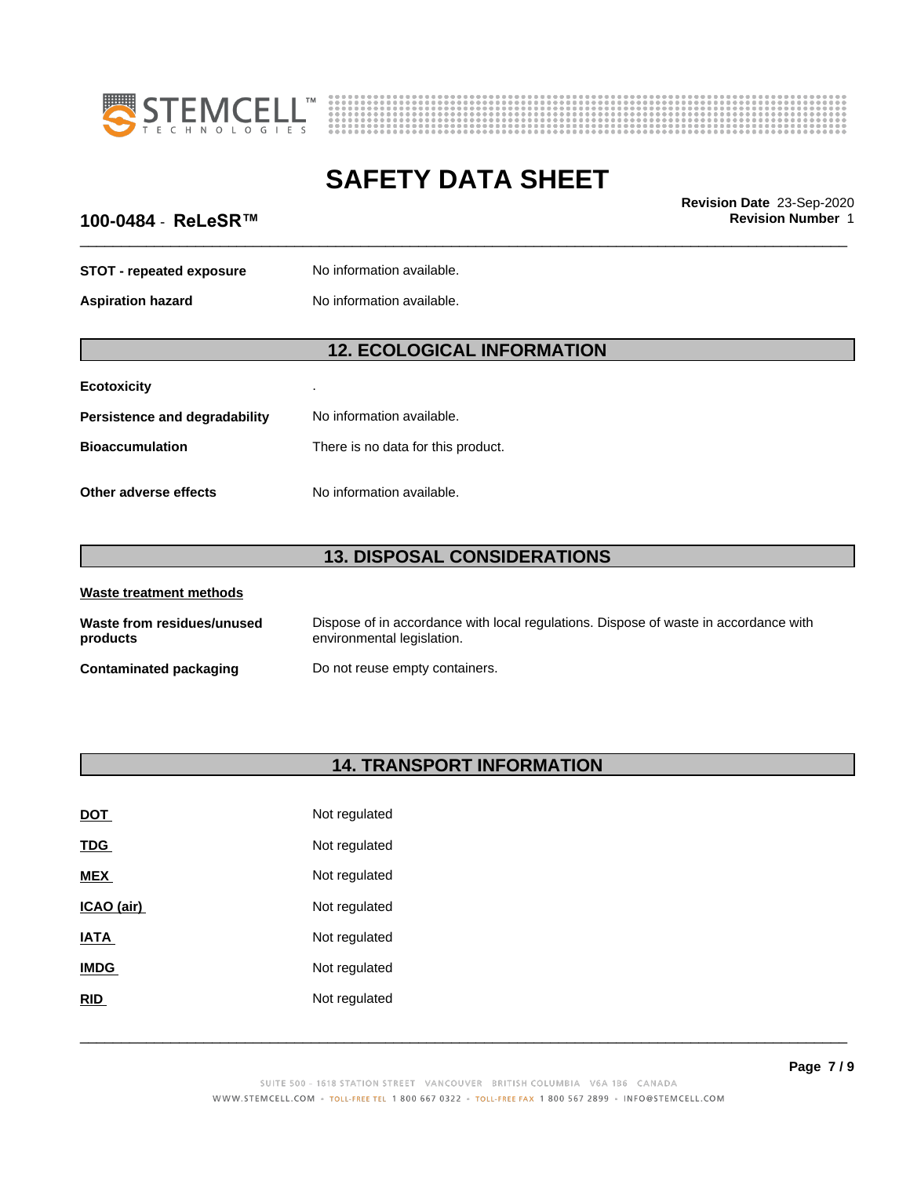



# **100-0484** - **ReLeSR™ Revision Number** 1

| 100-0484 - ReLeSR™              |                                    | Revision Date 23-Sep-2020<br><b>Revision Number 1</b> |
|---------------------------------|------------------------------------|-------------------------------------------------------|
| <b>STOT - repeated exposure</b> | No information available.          |                                                       |
| <b>Aspiration hazard</b>        | No information available.          |                                                       |
|                                 | <b>12. ECOLOGICAL INFORMATION</b>  |                                                       |
| <b>Ecotoxicity</b>              |                                    |                                                       |
| Persistence and degradability   | No information available.          |                                                       |
| <b>Bioaccumulation</b>          | There is no data for this product. |                                                       |
| Other adverse effects           | No information available.          |                                                       |
|                                 | <b>13. DISPOSAL CONSIDERATIONS</b> |                                                       |
| Waste treatment methods         |                                    |                                                       |

| Waste from residues/unused | Dispose of in accordance with local regulations. Dispose of waste in accordance with |
|----------------------------|--------------------------------------------------------------------------------------|
| products                   | environmental legislation.                                                           |
| Contaminated packaging     | Do not reuse empty containers.                                                       |

# **14. TRANSPORT INFORMATION**

| DOT         | Not regulated |
|-------------|---------------|
| <b>TDG</b>  | Not regulated |
| <b>MEX</b>  | Not regulated |
| ICAO (air)  | Not regulated |
| <b>IATA</b> | Not regulated |
| <b>IMDG</b> | Not regulated |
| <b>RID</b>  | Not regulated |
|             |               |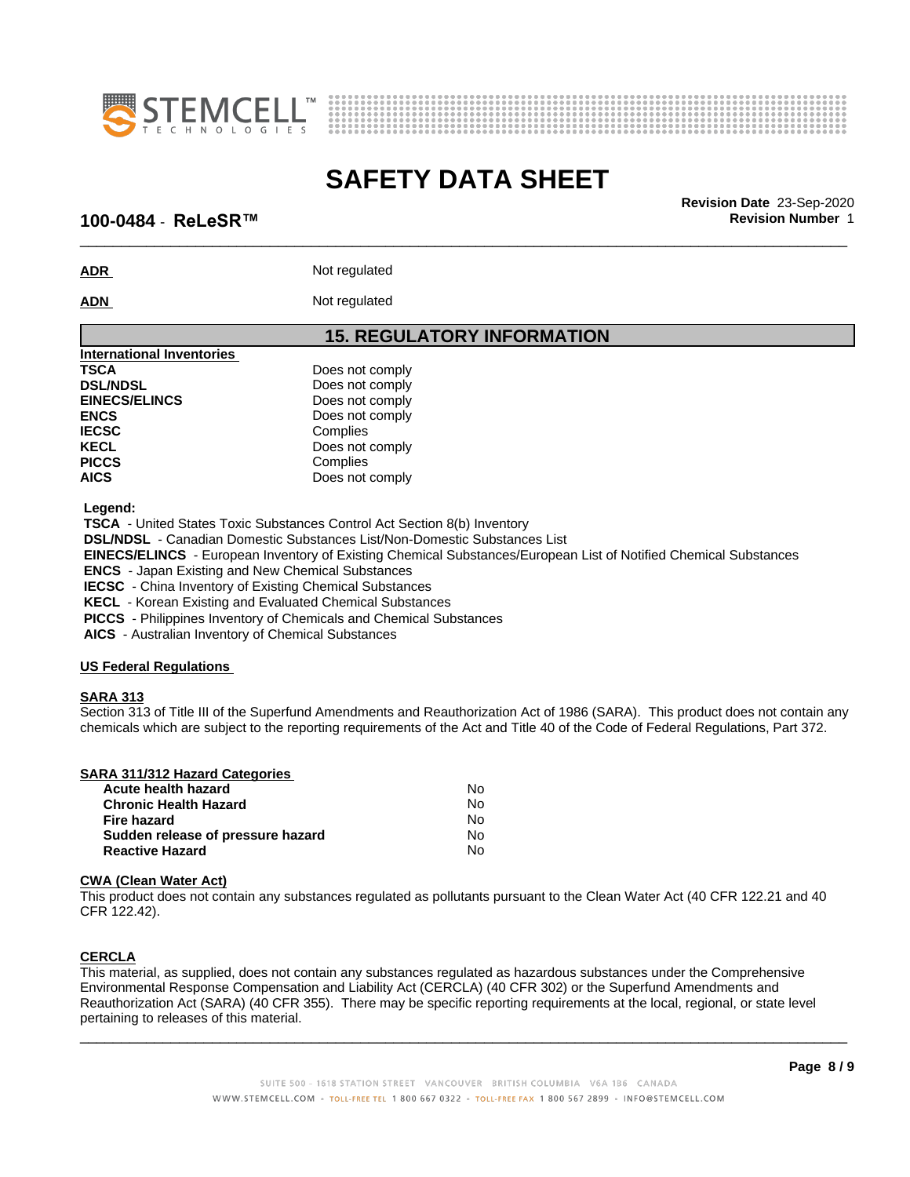



\_\_\_\_\_\_\_\_\_\_\_\_\_\_\_\_\_\_\_\_\_\_\_\_\_\_\_\_\_\_\_\_\_\_\_\_\_\_\_\_\_\_\_\_\_\_\_\_\_\_\_\_\_\_\_\_\_\_\_\_\_\_\_\_\_\_\_\_\_\_\_\_\_\_\_\_\_\_\_\_\_\_\_\_\_\_\_\_\_\_\_\_\_ **Revision Date** 23-Sep-2020

### **100-0484** - **ReLeSR™ Revision Number** 1

**ADR** Not regulated

ADN Not regulated

### **15. REGULATORY INFORMATION**

| International Inventories |                 |
|---------------------------|-----------------|
| <b>TSCA</b>               | Does not comply |
| <b>DSL/NDSL</b>           | Does not comply |
| <b>EINECS/ELINCS</b>      | Does not comply |
| <b>ENCS</b>               | Does not comply |
| <b>IECSC</b>              | Complies        |
| <b>KECL</b>               | Does not comply |
| <b>PICCS</b>              | Complies        |
| <b>AICS</b>               | Does not comply |
|                           |                 |

 **Legend:**

 **TSCA** - United States Toxic Substances Control Act Section 8(b) Inventory

 **DSL/NDSL** - Canadian Domestic Substances List/Non-Domestic Substances List

 **EINECS/ELINCS** - European Inventory of Existing Chemical Substances/European List of Notified Chemical Substances

 **ENCS** - Japan Existing and New Chemical Substances

 **IECSC** - China Inventory of Existing Chemical Substances

 **KECL** - Korean Existing and Evaluated Chemical Substances

 **PICCS** - Philippines Inventory of Chemicals and Chemical Substances

 **AICS** - Australian Inventory of Chemical Substances

### **US Federal Regulations**

### **SARA 313**

Section 313 of Title III of the Superfund Amendments and Reauthorization Act of 1986 (SARA). This product does not contain any chemicals which are subject to the reporting requirements of the Act and Title 40 of the Code of Federal Regulations, Part 372.

| Acute health hazard               | Nο |
|-----------------------------------|----|
| <b>Chronic Health Hazard</b>      | N٥ |
| Fire hazard                       | N٥ |
| Sudden release of pressure hazard | N٥ |
| <b>Reactive Hazard</b>            | N٥ |

### **CWA** (Clean Water Act)

This product does not contain any substances regulated as pollutants pursuant to the Clean Water Act (40 CFR 122.21 and 40 CFR 122.42).

### **CERCLA**

This material, as supplied, does not contain any substances regulated as hazardous substances under the Comprehensive Environmental Response Compensation and Liability Act (CERCLA) (40 CFR 302) or the Superfund Amendments and Reauthorization Act (SARA) (40 CFR 355). There may be specific reporting requirements at the local, regional, or state level pertaining to releases of this material.